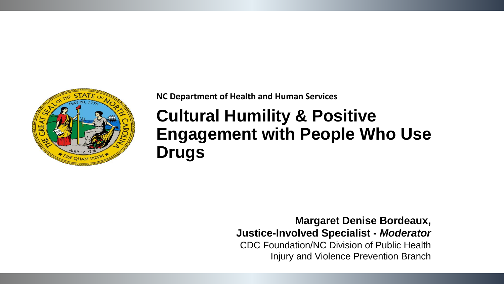

**NC Department of Health and Human Services** 

# **Cultural Humility & Positive Engagement with People Who Use Drugs**

**Margaret Denise Bordeaux, Justice-Involved Specialist -** *Moderator* CDC Foundation/NC Division of Public Health Injury and Violence Prevention Branch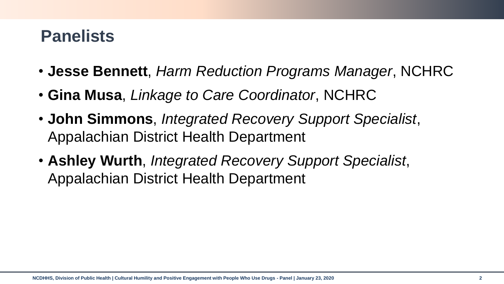# **Panelists**

- **Jesse Bennett**, *Harm Reduction Programs Manager*, NCHRC
- **Gina Musa**, *Linkage to Care Coordinator*, NCHRC
- **John Simmons**, *Integrated Recovery Support Specialist*, Appalachian District Health Department
- **Ashley Wurth**, *Integrated Recovery Support Specialist*, Appalachian District Health Department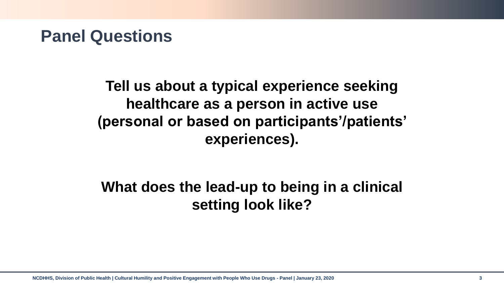**Tell us about a typical experience seeking healthcare as a person in active use (personal or based on participants'/patients' experiences).**

### **What does the lead-up to being in a clinical setting look like?**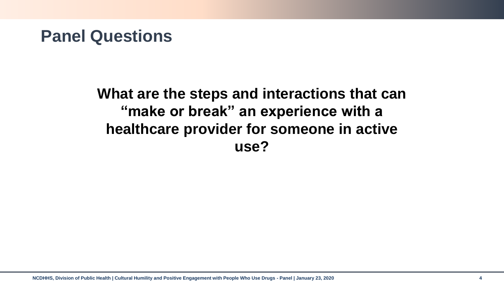**What are the steps and interactions that can "make or break" an experience with a healthcare provider for someone in active use?**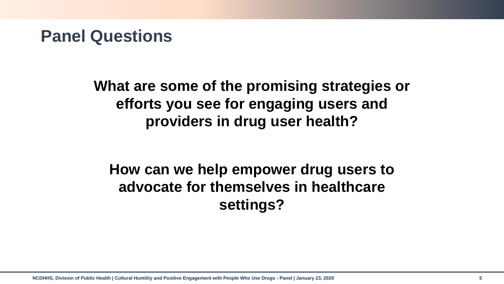**What are some of the promising strategies or efforts you see for engaging users and providers in drug user health?** 

# **How can we help empower drug users to advocate for themselves in healthcare settings?**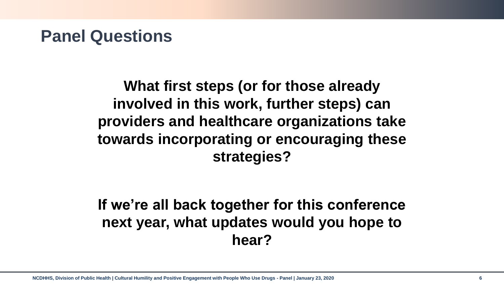**What first steps (or for those already involved in this work, further steps) can providers and healthcare organizations take towards incorporating or encouraging these strategies?** 

**If we're all back together for this conference next year, what updates would you hope to hear?**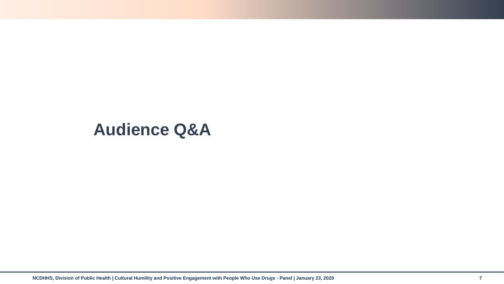### **Audience Q&A**